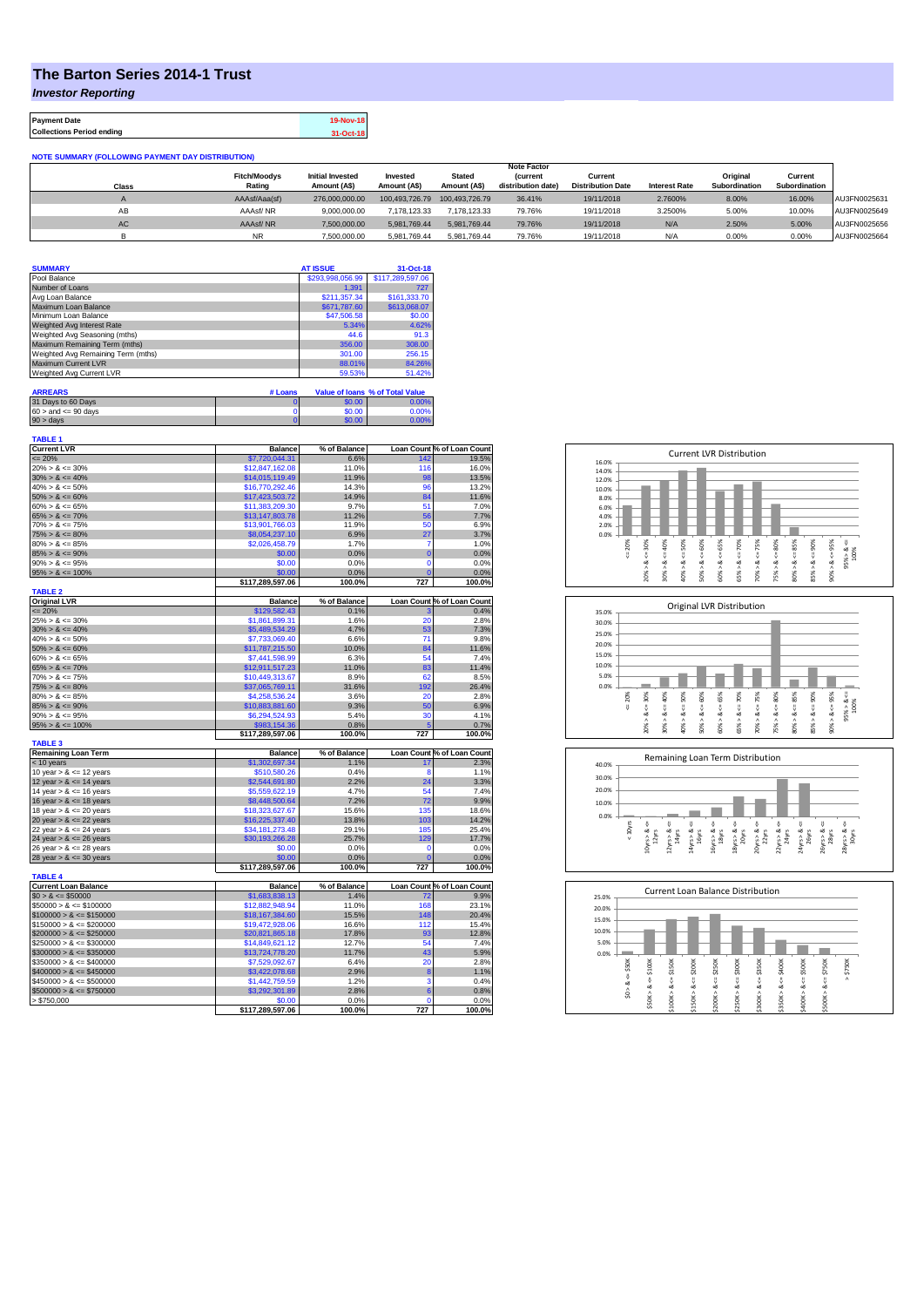## **The Barton Series 2014-1 Trust**

**NOTE SUMMARY (FOLLOWING PAYMENT DAY DIST)** 

*Investor Reporting*

**Payment Date 19-Nov-18** 

**Collections Period ending 31-Oct-18**

| <b>INVIL OURIGANT (I OLLOTHING I ATMENT DAT DIOTINIDUTION)</b> |                     |                         |                |                |                    |                          |                      |               |               |              |
|----------------------------------------------------------------|---------------------|-------------------------|----------------|----------------|--------------------|--------------------------|----------------------|---------------|---------------|--------------|
|                                                                | <b>Note Factor</b>  |                         |                |                |                    |                          |                      |               |               |              |
|                                                                | <b>Fitch/Moodvs</b> | <b>Initial Invested</b> | Invested       | <b>Stated</b>  | <b>(current</b>    | Current                  |                      | Original      | Current       |              |
| <b>Class</b>                                                   | Rating              | Amount (A\$)            | Amount (A\$)   | Amount (A\$)   | distribution date) | <b>Distribution Date</b> | <b>Interest Rate</b> | Subordination | Subordination |              |
|                                                                | AAAsf/Aaa(sf)       | 276.000.000.00          | 100.493.726.79 | 100.493.726.79 | 36.41%             | 19/11/2018               | 2.7600%              | 8.00%         | 16.00%        | AU3FN0025631 |
| AВ                                                             | AAAsf/NR            | 9.000.000.00            | 7.178.123.33   | 7.178.123.33   | 79.76%             | 19/11/2018               | 3.2500%              | 5.00%         | 10.00%        | AU3FN0025649 |
| <b>AC</b>                                                      | AAAsf/NR            | 7.500.000.00            | 5.981.769.44   | 5.981.769.44   | 79.76%             | 19/11/2018               | N/A                  | 2.50%         | 5.00%         | AU3FN0025656 |
|                                                                | <b>NR</b>           | 7.500.000.00            | 5.981.769.44   | 5.981.769.44   | 79.76%             | 19/11/2018               | N/A                  | 0.00%         | 0.00%         | AU3FN0025664 |

| <b>SUMMARY</b>                     |         | <b>AT ISSUE</b>  | 31-Oct-18                       |
|------------------------------------|---------|------------------|---------------------------------|
| Pool Balance                       |         | \$293,998,056.99 | \$117,289,597.06                |
| Number of Loans                    |         | 1.391            | 727                             |
| Avg Loan Balance                   |         | \$211.357.34     | \$161,333,70                    |
| Maximum Loan Balance               |         | \$671,787.60     | \$613,068.07                    |
| Minimum Loan Balance               |         | \$47,506.58      | \$0.00                          |
| Weighted Avg Interest Rate         |         | 5.34%            | 4.62%                           |
| Weighted Avg Seasoning (mths)      |         | 44.6             | 91.3                            |
| Maximum Remaining Term (mths)      |         | 356.00           | 308.00                          |
| Weighted Avg Remaining Term (mths) |         | 301.00           | 256.15                          |
| Maximum Current LVR                |         | 88.01%           | 84.26%                          |
| Weighted Avg Current LVR           |         | 59.53%           | 51.42%                          |
|                                    |         |                  |                                 |
| <b>ARREARS</b>                     | # Loans |                  | Value of Ioans % of Total Value |
| 31 Days to 60 Days                 | 0       | \$0.00           | 0.00%                           |

| $60 >$ and $\leq 90$ days                  | $\mathbf 0$      | \$0.00       | 0.00%          |                            |
|--------------------------------------------|------------------|--------------|----------------|----------------------------|
| 90 > days                                  | $\overline{0}$   | \$0.00       | 0.00%          |                            |
|                                            |                  |              |                |                            |
| <b>TABLE 1</b><br><b>Current LVR</b>       | <b>Balance</b>   | % of Balance |                | Loan Count % of Loan Count |
| $\leq$ 20%                                 | \$7,720,044.31   | 6.6%         | 142            | 19.5%                      |
| $20\% > 8 \le 30\%$                        | \$12,847,162.08  | 11.0%        | 116            | 16.0%                      |
| $30\% > 8 \le 40\%$                        | \$14,015,119.49  | 11.9%        | 98             | 13.5%                      |
| $40\% > 8 \le 50\%$                        | \$16,770,292.46  | 14.3%        | 96             | 13.2%                      |
| $50\% > 8 \le 60\%$                        | \$17,423,503.72  | 14.9%        | 84             | 11.6%                      |
| $60\% > 8 \le 65\%$                        | \$11,383,209.30  | 9.7%         | 51             | 7.0%                       |
| $65\% > 8 \le 70\%$                        | \$13,147,803.78  | 11.2%        | 56             | 7.7%                       |
| $70\% > 8 \le 75\%$                        | \$13,901,766.03  | 11.9%        | 50             | 6.9%                       |
| $75\% > 8 \le 80\%$                        | \$8,054,237.10   | 6.9%         | 27             | 3.7%                       |
| $80\% > 8 \le 85\%$                        | \$2,026,458.79   | 1.7%         | 7              | 1.0%                       |
|                                            |                  |              |                |                            |
| $85\% > 8 \le 90\%$<br>$90\% > 8 \le 95\%$ | \$0.00<br>\$0.00 | 0.0%         | $\bf{0}$<br>0  | 0.0%                       |
|                                            |                  | 0.0%         | $\overline{0}$ | 0.0%                       |
| $95\% > 8 \le 100\%$                       | \$0.00           | 0.0%         |                | 0.0%                       |
| <b>TABLE 2</b>                             | \$117.289.597.06 | 100.0%       | 727            | 100.0%                     |
| <b>Original LVR</b>                        | <b>Balance</b>   | % of Balance |                | Loan Count % of Loan Count |
| $= 20%$                                    | \$129,582.43     | 0.1%         |                | 0.4%                       |
| $25\% > 8 \le 30\%$                        | \$1.861.899.31   | 1.6%         | 20             | 2.8%                       |
| $30\% > 8 \le 40\%$                        | \$5,489,534.29   | 4.7%         | 53             | 7.3%                       |
| $40\% > 8 \le 50\%$                        | \$7,733,069.40   | 6.6%         | 71             | 9.8%                       |
| $50\% > 8 \le 60\%$                        | \$11,787,215.50  | 10.0%        | 84             | 11.6%                      |
| $60\% > 8 \le 65\%$                        | \$7,441,598.99   | 6.3%         | 54             | 7.4%                       |
| $65\% > 8 \le 70\%$                        | \$12,911,517.23  | 11.0%        | 83             | 11.4%                      |
| $70\% > 8 \le 75\%$                        | \$10,449,313.67  | 8.9%         | 62             | 8.5%                       |
| $75\% > 8 \le 80\%$                        | \$37,065,769.11  | 31.6%        | 192            | 26.4%                      |
| $80\% > 8 \le 85\%$                        | \$4,258,536.24   | 3.6%         | 20             | 2.8%                       |
| $85\% > 8 \le 90\%$                        | \$10,883,881.60  | 9.3%         | 50             | 6.9%                       |
| $90\% > 8 \le 95\%$                        | \$6,294,524.93   | 5.4%         | 30             | 4.1%                       |
| $95\% > 8 \le 100\%$                       | \$983,154.36     | 0.8%         |                | 0.7%                       |
|                                            | \$117,289,597.06 | 100.0%       | 727            | 100.0%                     |
| <b>TABLE 3</b>                             |                  |              |                |                            |
| <b>Remaining Loan Term</b>                 | <b>Balance</b>   | % of Balance |                | Loan Count % of Loan Count |
| < 10 years                                 | \$1,302,697.34   | 1.1%         | 17             | 2.3%                       |
| 10 year $> 8 \le 12$ years                 | \$510,580.26     | 0.4%         | 8              | 1.1%                       |
| 12 year $> 8 \le 14$ years                 | \$2,544,691.80   | 2.2%         | 24             | 3.3%                       |
| 14 year $> 8 \le 16$ years                 | \$5,559,622.19   | 4.7%         | 54             | 7.4%                       |
| 16 year $> 8 \le 18$ years                 | \$8,448,500.64   | 7.2%         | 72             | 9.9%                       |
| 18 year $> 8 \le 20$ years                 | \$18,323,627.67  | 15.6%        | 135            | 18.6%                      |
| 20 year $> 8 \le 22$ years                 | \$16,225,337.40  | 13.8%        | 103            | 14.2%                      |
| 22 year $> 8 \le 24$ years                 | \$34,181,273.48  | 29.1%        | 185            | 25.4%                      |
| 24 year $> 8 \le 26$ years                 | \$30,193,266.28  | 25.7%        | 129            | 17.7%                      |
| 26 year $> 8 \le 28$ years                 | \$0.00           | 0.0%         | $\Omega$       | 0.0%                       |
| 28 year $> 8 \le 30$ years                 | \$0.00           | 0.0%         | $\overline{0}$ | 0.0%                       |
|                                            | \$117,289,597.06 | 100.0%       | 727            | 100.0%                     |
| <b>TABLE 4</b>                             |                  |              |                |                            |
| <b>Current Loan Balance</b>                | <b>Balance</b>   | % of Balance |                | Loan Count % of Loan Count |
| $$0 > 8 \le $50000$                        | \$1,683,838.13   | 1.4%         | 72             | 9.9%                       |
| $$50000 > 8 \le $100000$                   | \$12,882,948.94  | 11.0%        | 168            | 23.1%                      |
| $$100000 > 8 \le $150000$                  | \$18,167,384.60  | 15.5%        | 148            | 20.4%                      |
| $$150000 > 8 \leq $200000$                 | \$19,472,928.06  | 16.6%        | 112            | 15.4%                      |
| $$200000 > 8 \leq $250000$                 | \$20,821,865.18  | 17.8%        | 93             | 12.8%                      |
| $$250000 > 8 \leq $300000$                 | \$14,849,621.12  | 12.7%        | 54             | 7.4%                       |
| $$300000 > 8 \leq $350000$                 | \$13,724,778.20  | 11.7%        | 43             | 5.9%                       |
| $$350000 > 8 \le $400000$                  | \$7,529,092.67   | 6.4%         | 20             | 2.8%                       |
| $$400000 > 8 \le $450000$                  | \$3,422,078.68   | 2.9%         | 8              | 1.1%                       |
| $$450000 > 8 \leq $500000$                 | \$1,442,759.59   | 1.2%         | 3              | 0.4%                       |
| $$500000 > 8 \le $750000$                  | \$3,292,301.89   | 2.8%         | 6              | 0.8%                       |

 $> $750,000$  0.0% 0 0.0% 0 0.0%

**\$117,289,597.06 100.0% 727 100.0%**







| 25.0% |        |               |             |         |             |         | <b>Current Loan Balance Distribution</b> |         |        |         |                     |
|-------|--------|---------------|-------------|---------|-------------|---------|------------------------------------------|---------|--------|---------|---------------------|
| 20.0% |        |               |             |         |             |         |                                          |         |        |         |                     |
| 15.0% |        |               |             |         |             |         |                                          |         |        |         |                     |
| 10.0% |        |               |             |         |             |         |                                          |         |        |         |                     |
| 5.0%  |        |               |             |         |             |         |                                          |         |        |         |                     |
| 0.0%  |        |               |             |         |             |         |                                          |         |        |         |                     |
|       | \$50K  | \$100K        | \$150K      | \$200K  | \$250K      | \$300K  | \$350K                                   | \$400K  | \$500K | \$750K  | \$750K              |
|       | ő      | ő             | V           | ÷,      | U           | ű       |                                          | ű       | υ      | V       | $\hat{\phantom{a}}$ |
|       | త<br>٨ | ಯ             | œ           | ಜ       | ಯ           | ∞       | œ                                        | ∞       | œ      | ∞       |                     |
|       | s.     | ٨<br>$$50K$ : | Λ<br>\$100K | \$150K> | Λ<br>\$200K | \$250K> |                                          | \$350K> |        | \$500K> |                     |
|       |        |               |             |         |             |         | \$300K                                   |         | \$400K |         |                     |